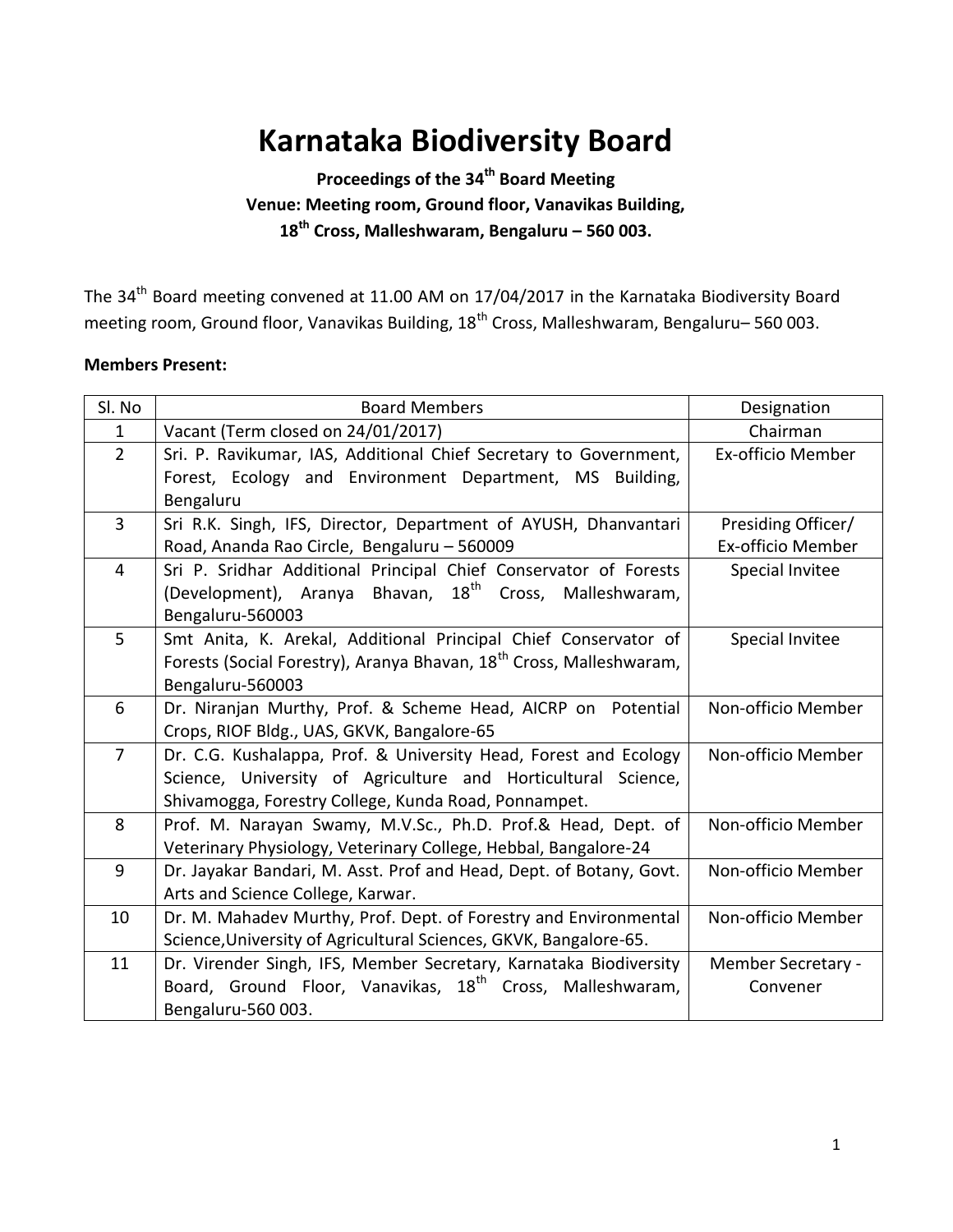# **Karnataka Biodiversity Board**

# **Proceedings of the 34th Board Meeting Venue: Meeting room, Ground floor, Vanavikas Building, 18th Cross, Malleshwaram, Bengaluru – 560 003.**

The 34<sup>th</sup> Board meeting convened at 11.00 AM on 17/04/2017 in the Karnataka Biodiversity Board meeting room, Ground floor, Vanavikas Building, 18<sup>th</sup> Cross, Malleshwaram, Bengaluru– 560 003.

#### **Members Present:**

| Sl. No         | <b>Board Members</b>                                                                   | Designation        |
|----------------|----------------------------------------------------------------------------------------|--------------------|
| $\mathbf{1}$   | Vacant (Term closed on 24/01/2017)                                                     | Chairman           |
| $\overline{2}$ | Sri. P. Ravikumar, IAS, Additional Chief Secretary to Government,                      | Ex-officio Member  |
|                | Forest, Ecology and Environment Department, MS Building,                               |                    |
|                | Bengaluru                                                                              |                    |
| 3              | Sri R.K. Singh, IFS, Director, Department of AYUSH, Dhanvantari                        | Presiding Officer/ |
|                | Road, Ananda Rao Circle, Bengaluru - 560009                                            | Ex-officio Member  |
| $\overline{4}$ | Sri P. Sridhar Additional Principal Chief Conservator of Forests                       | Special Invitee    |
|                | (Development), Aranya Bhavan, 18 <sup>th</sup> Cross, Malleshwaram,                    |                    |
|                | Bengaluru-560003                                                                       |                    |
| 5              | Smt Anita, K. Arekal, Additional Principal Chief Conservator of                        | Special Invitee    |
|                | Forests (Social Forestry), Aranya Bhavan, 18 <sup>th</sup> Cross, Malleshwaram,        |                    |
|                | Bengaluru-560003                                                                       |                    |
| 6              | Dr. Niranjan Murthy, Prof. & Scheme Head, AICRP on Potential                           | Non-officio Member |
|                | Crops, RIOF Bldg., UAS, GKVK, Bangalore-65                                             |                    |
| $\overline{7}$ | Dr. C.G. Kushalappa, Prof. & University Head, Forest and Ecology<br>Non-officio Member |                    |
|                | Science, University of Agriculture and Horticultural Science,                          |                    |
|                | Shivamogga, Forestry College, Kunda Road, Ponnampet.                                   |                    |
| 8              | Prof. M. Narayan Swamy, M.V.Sc., Ph.D. Prof.& Head, Dept. of                           | Non-officio Member |
|                | Veterinary Physiology, Veterinary College, Hebbal, Bangalore-24                        |                    |
| 9              | Dr. Jayakar Bandari, M. Asst. Prof and Head, Dept. of Botany, Govt.                    | Non-officio Member |
|                | Arts and Science College, Karwar.                                                      |                    |
| 10             | Dr. M. Mahadev Murthy, Prof. Dept. of Forestry and Environmental                       | Non-officio Member |
|                | Science, University of Agricultural Sciences, GKVK, Bangalore-65.                      |                    |
| 11             | Dr. Virender Singh, IFS, Member Secretary, Karnataka Biodiversity                      | Member Secretary - |
|                | Board, Ground Floor, Vanavikas, 18 <sup>th</sup> Cross, Malleshwaram,                  | Convener           |
|                | Bengaluru-560 003.                                                                     |                    |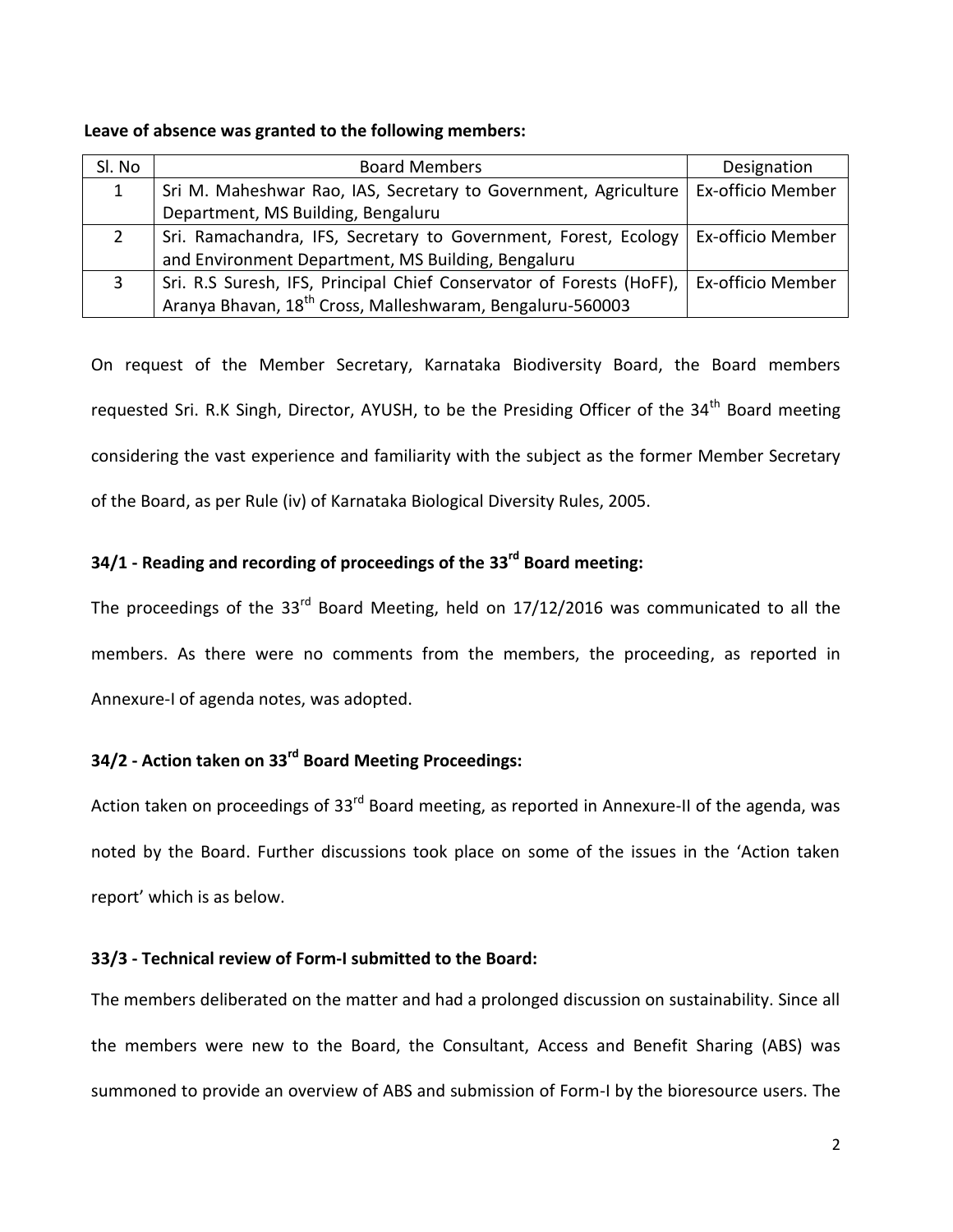#### **Leave of absence was granted to the following members:**

| Sl. No | <b>Board Members</b>                                                                     | Designation       |
|--------|------------------------------------------------------------------------------------------|-------------------|
| 1      | Sri M. Maheshwar Rao, IAS, Secretary to Government, Agriculture   Ex-officio Member      |                   |
|        | Department, MS Building, Bengaluru                                                       |                   |
|        | Sri. Ramachandra, IFS, Secretary to Government, Forest, Ecology                          | Ex-officio Member |
|        | and Environment Department, MS Building, Bengaluru                                       |                   |
|        | Sri. R.S Suresh, IFS, Principal Chief Conservator of Forests (HoFF),   Ex-officio Member |                   |
|        | Aranya Bhavan, 18 <sup>th</sup> Cross, Malleshwaram, Bengaluru-560003                    |                   |

On request of the Member Secretary, Karnataka Biodiversity Board, the Board members requested Sri. R.K Singh, Director, AYUSH, to be the Presiding Officer of the 34<sup>th</sup> Board meeting considering the vast experience and familiarity with the subject as the former Member Secretary of the Board, as per Rule (iv) of Karnataka Biological Diversity Rules, 2005.

# **34/1 - Reading and recording of proceedings of the 33rd Board meeting:**

The proceedings of the 33 $^{rd}$  Board Meeting, held on 17/12/2016 was communicated to all the members. As there were no comments from the members, the proceeding, as reported in Annexure-I of agenda notes, was adopted.

# **34/2 - Action taken on 33rd Board Meeting Proceedings:**

Action taken on proceedings of 33<sup>rd</sup> Board meeting, as reported in Annexure-II of the agenda, was noted by the Board. Further discussions took place on some of the issues in the 'Action taken report' which is as below.

#### **33/3 - Technical review of Form-I submitted to the Board:**

The members deliberated on the matter and had a prolonged discussion on sustainability. Since all the members were new to the Board, the Consultant, Access and Benefit Sharing (ABS) was summoned to provide an overview of ABS and submission of Form-I by the bioresource users. The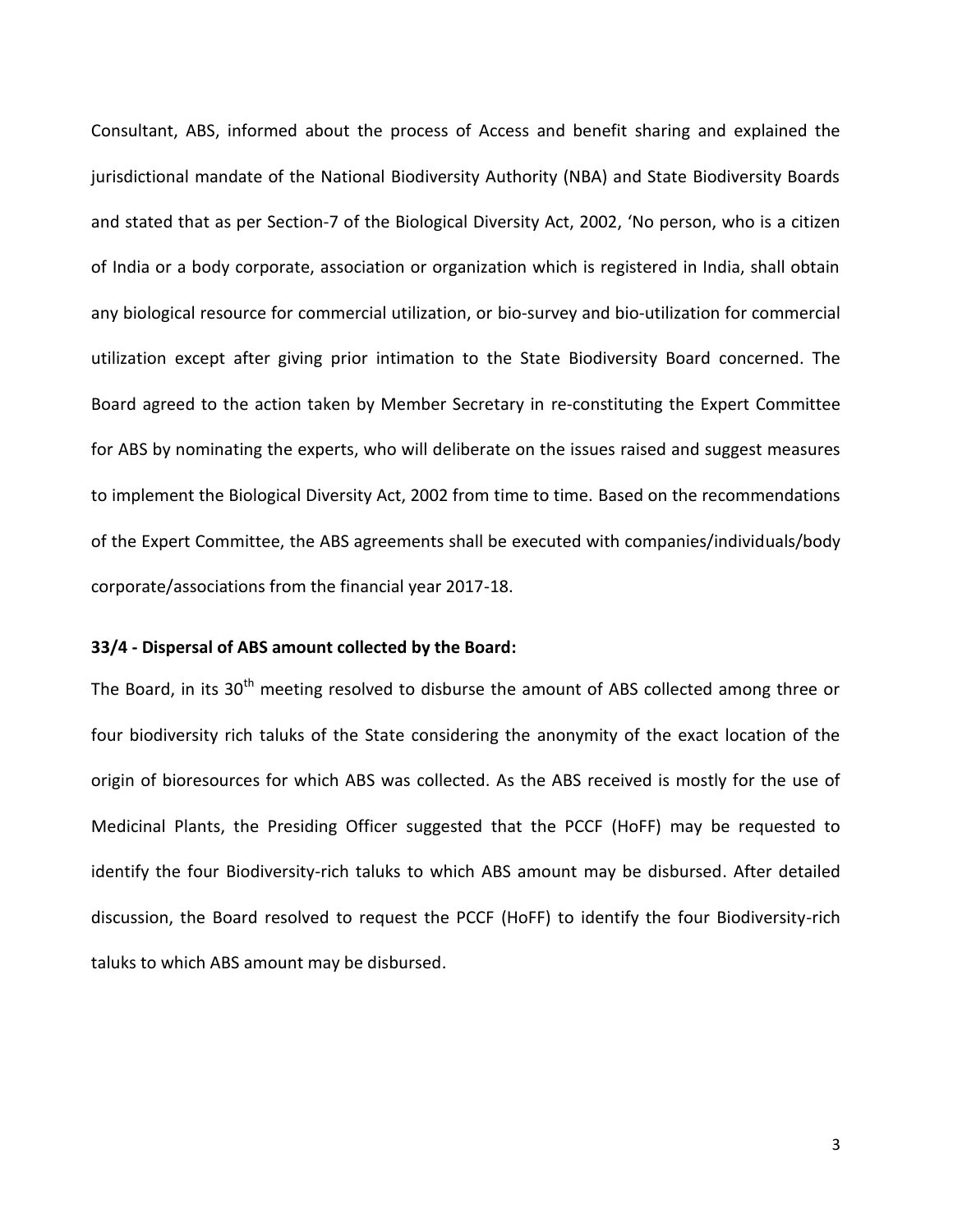Consultant, ABS, informed about the process of Access and benefit sharing and explained the jurisdictional mandate of the National Biodiversity Authority (NBA) and State Biodiversity Boards and stated that as per Section-7 of the Biological Diversity Act, 2002, 'No person, who is a citizen of India or a body corporate, association or organization which is registered in India, shall obtain any biological resource for commercial utilization, or bio-survey and bio-utilization for commercial utilization except after giving prior intimation to the State Biodiversity Board concerned. The Board agreed to the action taken by Member Secretary in re-constituting the Expert Committee for ABS by nominating the experts, who will deliberate on the issues raised and suggest measures to implement the Biological Diversity Act, 2002 from time to time. Based on the recommendations of the Expert Committee, the ABS agreements shall be executed with companies/individuals/body corporate/associations from the financial year 2017-18.

#### **33/4 - Dispersal of ABS amount collected by the Board:**

The Board, in its  $30<sup>th</sup>$  meeting resolved to disburse the amount of ABS collected among three or four biodiversity rich taluks of the State considering the anonymity of the exact location of the origin of bioresources for which ABS was collected. As the ABS received is mostly for the use of Medicinal Plants, the Presiding Officer suggested that the PCCF (HoFF) may be requested to identify the four Biodiversity-rich taluks to which ABS amount may be disbursed. After detailed discussion, the Board resolved to request the PCCF (HoFF) to identify the four Biodiversity-rich taluks to which ABS amount may be disbursed.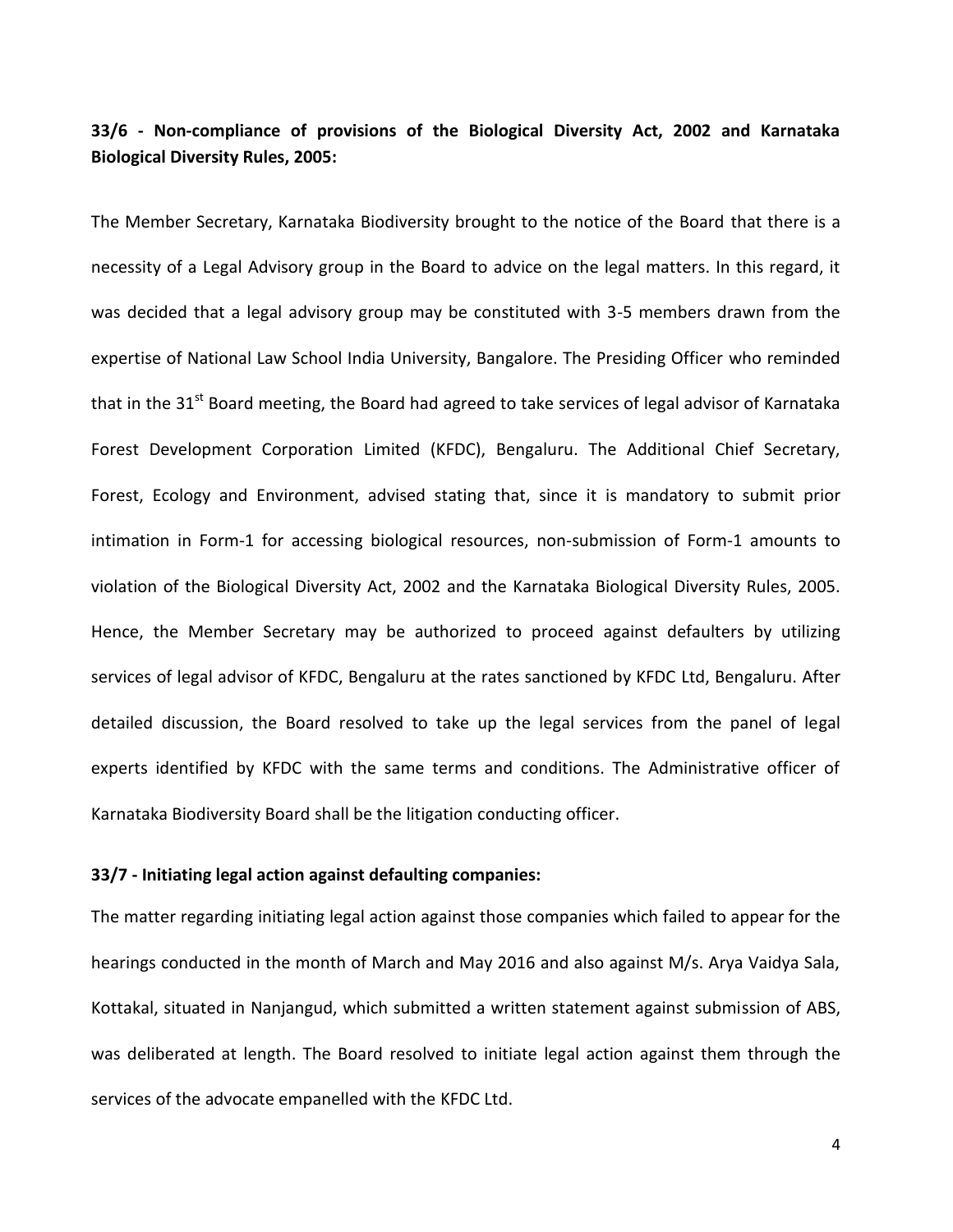# **33/6 - Non-compliance of provisions of the Biological Diversity Act, 2002 and Karnataka Biological Diversity Rules, 2005:**

The Member Secretary, Karnataka Biodiversity brought to the notice of the Board that there is a necessity of a Legal Advisory group in the Board to advice on the legal matters. In this regard, it was decided that a legal advisory group may be constituted with 3-5 members drawn from the expertise of National Law School India University, Bangalore. The Presiding Officer who reminded that in the  $31<sup>st</sup>$  Board meeting, the Board had agreed to take services of legal advisor of Karnataka Forest Development Corporation Limited (KFDC), Bengaluru. The Additional Chief Secretary, Forest, Ecology and Environment, advised stating that, since it is mandatory to submit prior intimation in Form-1 for accessing biological resources, non-submission of Form-1 amounts to violation of the Biological Diversity Act, 2002 and the Karnataka Biological Diversity Rules, 2005. Hence, the Member Secretary may be authorized to proceed against defaulters by utilizing services of legal advisor of KFDC, Bengaluru at the rates sanctioned by KFDC Ltd, Bengaluru. After detailed discussion, the Board resolved to take up the legal services from the panel of legal experts identified by KFDC with the same terms and conditions. The Administrative officer of Karnataka Biodiversity Board shall be the litigation conducting officer.

#### **33/7 - Initiating legal action against defaulting companies:**

The matter regarding initiating legal action against those companies which failed to appear for the hearings conducted in the month of March and May 2016 and also against M/s. Arya Vaidya Sala, Kottakal, situated in Nanjangud, which submitted a written statement against submission of ABS, was deliberated at length. The Board resolved to initiate legal action against them through the services of the advocate empanelled with the KFDC Ltd.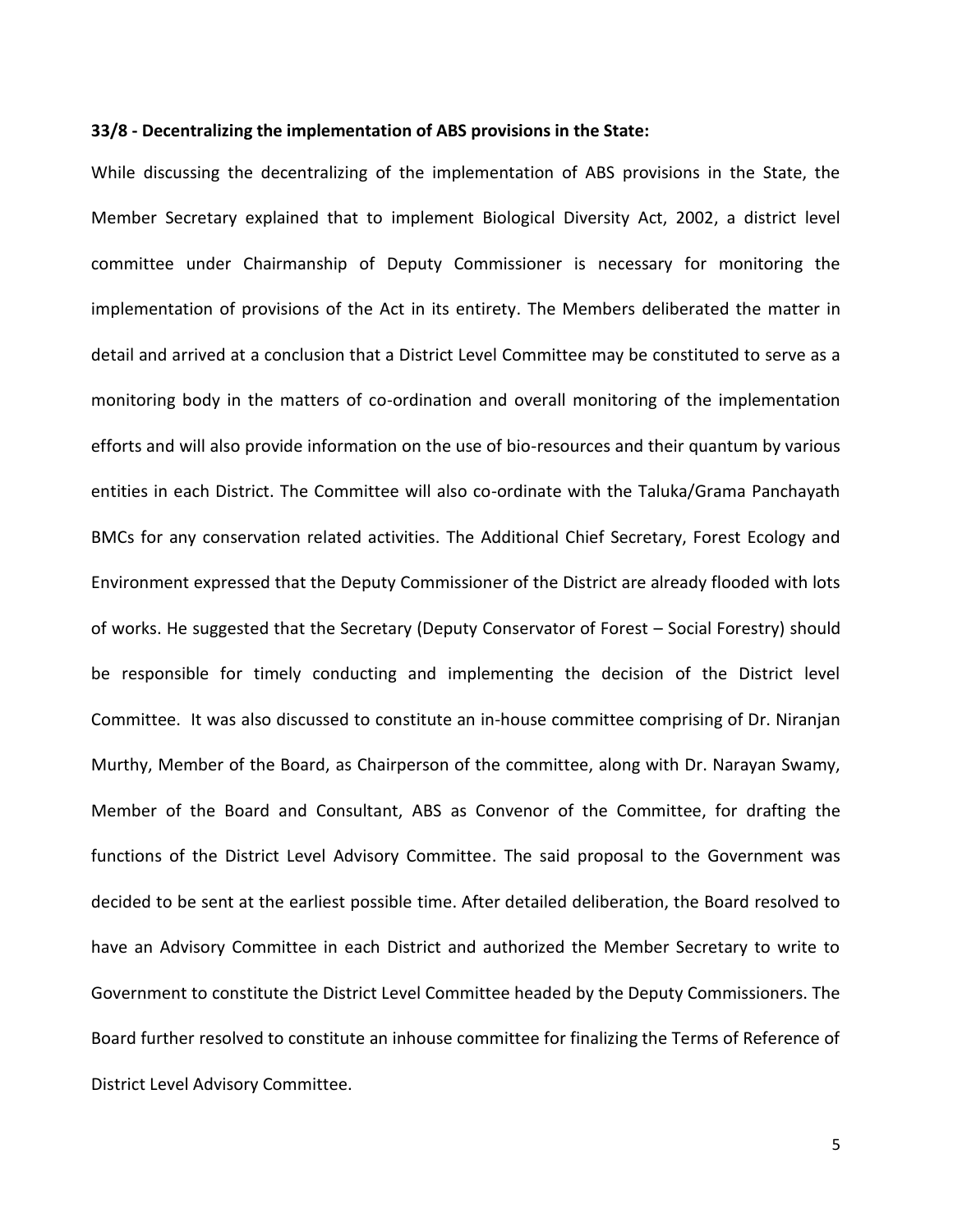#### **33/8 - Decentralizing the implementation of ABS provisions in the State:**

While discussing the decentralizing of the implementation of ABS provisions in the State, the Member Secretary explained that to implement Biological Diversity Act, 2002, a district level committee under Chairmanship of Deputy Commissioner is necessary for monitoring the implementation of provisions of the Act in its entirety. The Members deliberated the matter in detail and arrived at a conclusion that a District Level Committee may be constituted to serve as a monitoring body in the matters of co-ordination and overall monitoring of the implementation efforts and will also provide information on the use of bio-resources and their quantum by various entities in each District. The Committee will also co-ordinate with the Taluka/Grama Panchayath BMCs for any conservation related activities. The Additional Chief Secretary, Forest Ecology and Environment expressed that the Deputy Commissioner of the District are already flooded with lots of works. He suggested that the Secretary (Deputy Conservator of Forest – Social Forestry) should be responsible for timely conducting and implementing the decision of the District level Committee. It was also discussed to constitute an in-house committee comprising of Dr. Niranjan Murthy, Member of the Board, as Chairperson of the committee, along with Dr. Narayan Swamy, Member of the Board and Consultant, ABS as Convenor of the Committee, for drafting the functions of the District Level Advisory Committee. The said proposal to the Government was decided to be sent at the earliest possible time. After detailed deliberation, the Board resolved to have an Advisory Committee in each District and authorized the Member Secretary to write to Government to constitute the District Level Committee headed by the Deputy Commissioners. The Board further resolved to constitute an inhouse committee for finalizing the Terms of Reference of District Level Advisory Committee.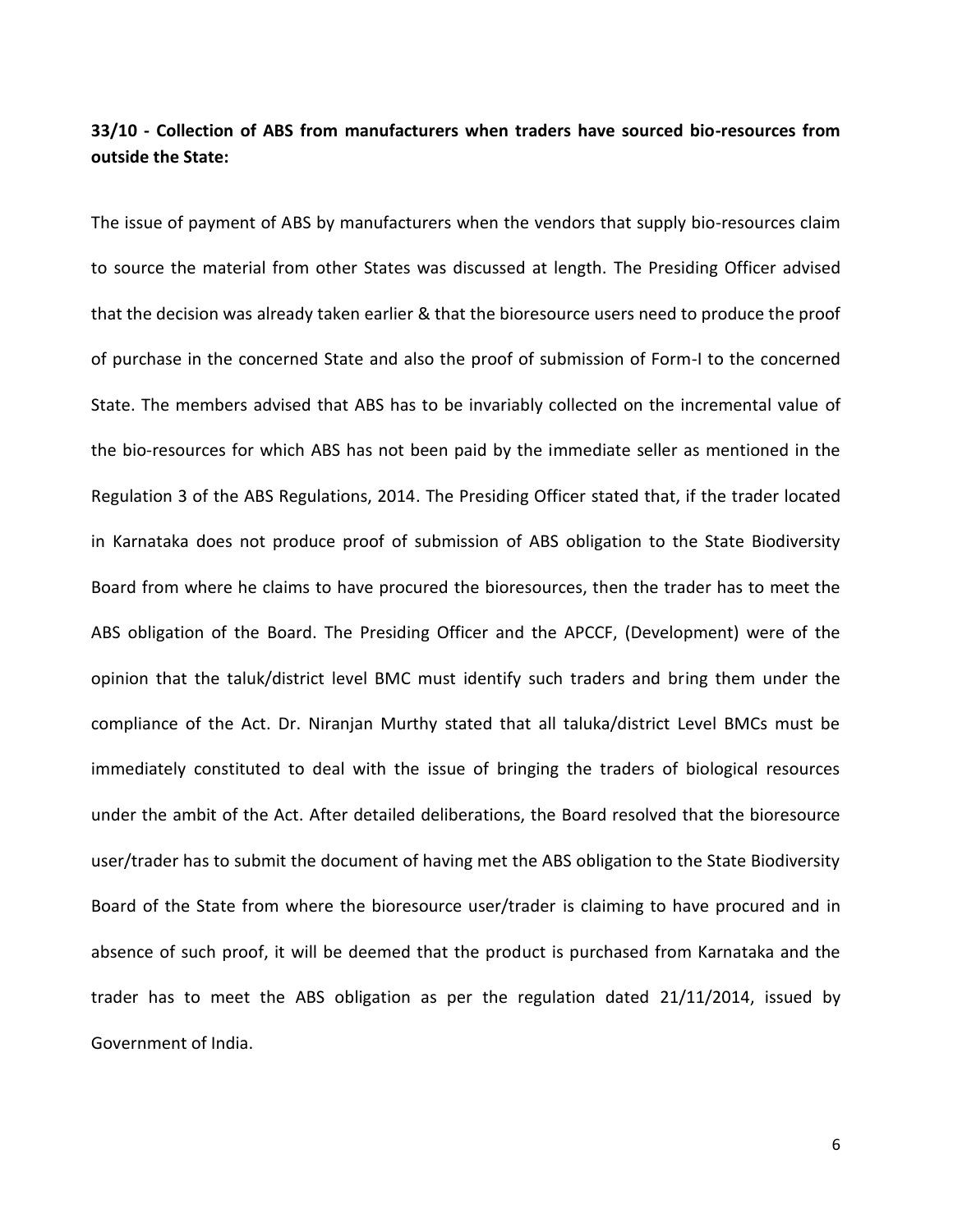# **33/10 - Collection of ABS from manufacturers when traders have sourced bio-resources from outside the State:**

The issue of payment of ABS by manufacturers when the vendors that supply bio-resources claim to source the material from other States was discussed at length. The Presiding Officer advised that the decision was already taken earlier & that the bioresource users need to produce the proof of purchase in the concerned State and also the proof of submission of Form-I to the concerned State. The members advised that ABS has to be invariably collected on the incremental value of the bio-resources for which ABS has not been paid by the immediate seller as mentioned in the Regulation 3 of the ABS Regulations, 2014. The Presiding Officer stated that, if the trader located in Karnataka does not produce proof of submission of ABS obligation to the State Biodiversity Board from where he claims to have procured the bioresources, then the trader has to meet the ABS obligation of the Board. The Presiding Officer and the APCCF, (Development) were of the opinion that the taluk/district level BMC must identify such traders and bring them under the compliance of the Act. Dr. Niranjan Murthy stated that all taluka/district Level BMCs must be immediately constituted to deal with the issue of bringing the traders of biological resources under the ambit of the Act. After detailed deliberations, the Board resolved that the bioresource user/trader has to submit the document of having met the ABS obligation to the State Biodiversity Board of the State from where the bioresource user/trader is claiming to have procured and in absence of such proof, it will be deemed that the product is purchased from Karnataka and the trader has to meet the ABS obligation as per the regulation dated 21/11/2014, issued by Government of India.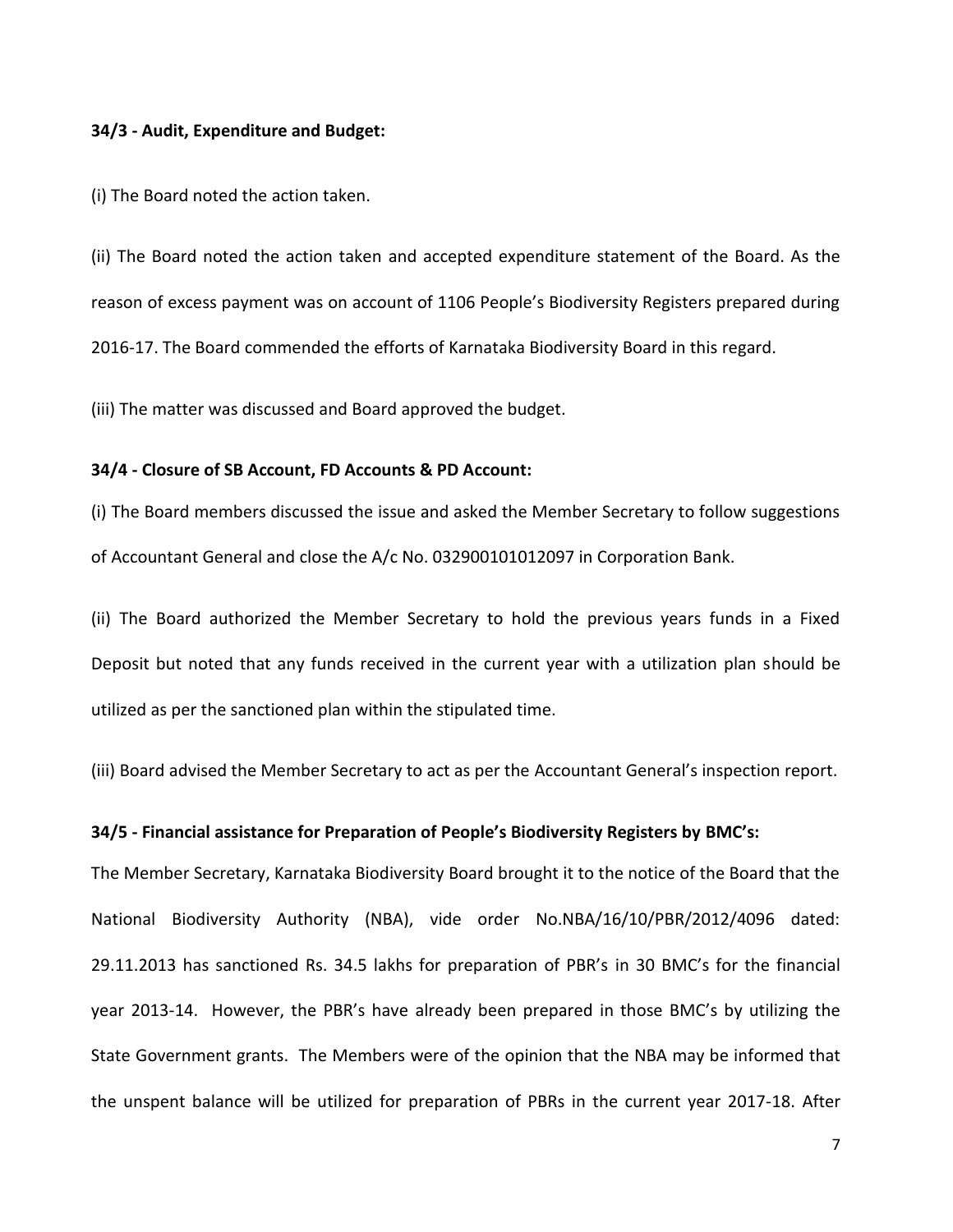#### **34/3 - Audit, Expenditure and Budget:**

(i) The Board noted the action taken.

(ii) The Board noted the action taken and accepted expenditure statement of the Board. As the reason of excess payment was on account of 1106 People's Biodiversity Registers prepared during 2016-17. The Board commended the efforts of Karnataka Biodiversity Board in this regard.

(iii) The matter was discussed and Board approved the budget.

#### **34/4 - Closure of SB Account, FD Accounts & PD Account:**

(i) The Board members discussed the issue and asked the Member Secretary to follow suggestions of Accountant General and close the A/c No. 032900101012097 in Corporation Bank.

(ii) The Board authorized the Member Secretary to hold the previous years funds in a Fixed Deposit but noted that any funds received in the current year with a utilization plan should be utilized as per the sanctioned plan within the stipulated time.

(iii) Board advised the Member Secretary to act as per the Accountant General's inspection report.

#### **34/5 - Financial assistance for Preparation of People's Biodiversity Registers by BMC's:**

The Member Secretary, Karnataka Biodiversity Board brought it to the notice of the Board that the National Biodiversity Authority (NBA), vide order No.NBA/16/10/PBR/2012/4096 dated: 29.11.2013 has sanctioned Rs. 34.5 lakhs for preparation of PBR's in 30 BMC's for the financial year 2013-14. However, the PBR's have already been prepared in those BMC's by utilizing the State Government grants. The Members were of the opinion that the NBA may be informed that the unspent balance will be utilized for preparation of PBRs in the current year 2017-18. After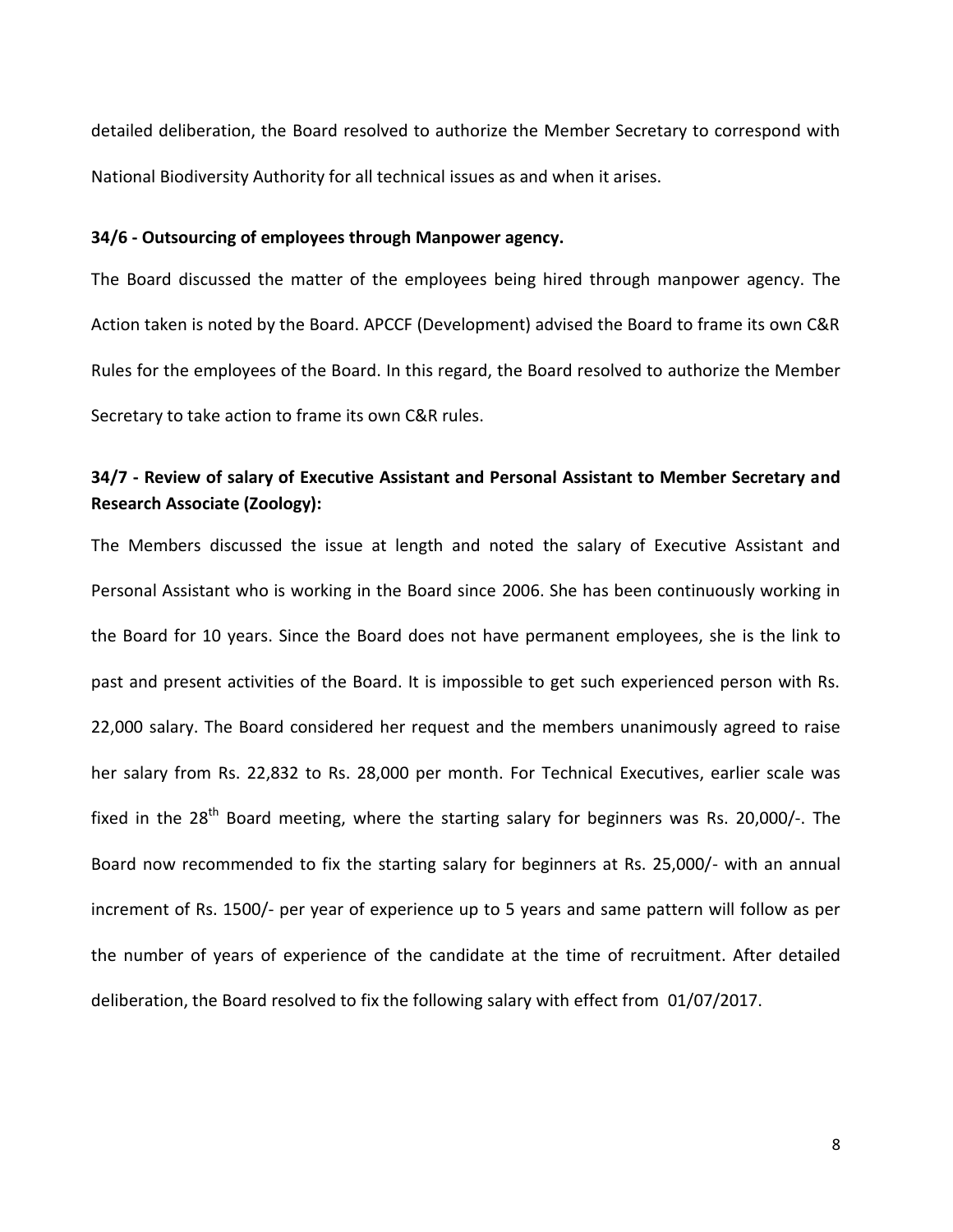detailed deliberation, the Board resolved to authorize the Member Secretary to correspond with National Biodiversity Authority for all technical issues as and when it arises.

#### **34/6 - Outsourcing of employees through Manpower agency.**

The Board discussed the matter of the employees being hired through manpower agency. The Action taken is noted by the Board. APCCF (Development) advised the Board to frame its own C&R Rules for the employees of the Board. In this regard, the Board resolved to authorize the Member Secretary to take action to frame its own C&R rules.

# **34/7 - Review of salary of Executive Assistant and Personal Assistant to Member Secretary and Research Associate (Zoology):**

The Members discussed the issue at length and noted the salary of Executive Assistant and Personal Assistant who is working in the Board since 2006. She has been continuously working in the Board for 10 years. Since the Board does not have permanent employees, she is the link to past and present activities of the Board. It is impossible to get such experienced person with Rs. 22,000 salary. The Board considered her request and the members unanimously agreed to raise her salary from Rs. 22,832 to Rs. 28,000 per month. For Technical Executives, earlier scale was fixed in the  $28^{th}$  Board meeting, where the starting salary for beginners was Rs. 20,000/-. The Board now recommended to fix the starting salary for beginners at Rs. 25,000/- with an annual increment of Rs. 1500/- per year of experience up to 5 years and same pattern will follow as per the number of years of experience of the candidate at the time of recruitment. After detailed deliberation, the Board resolved to fix the following salary with effect from 01/07/2017.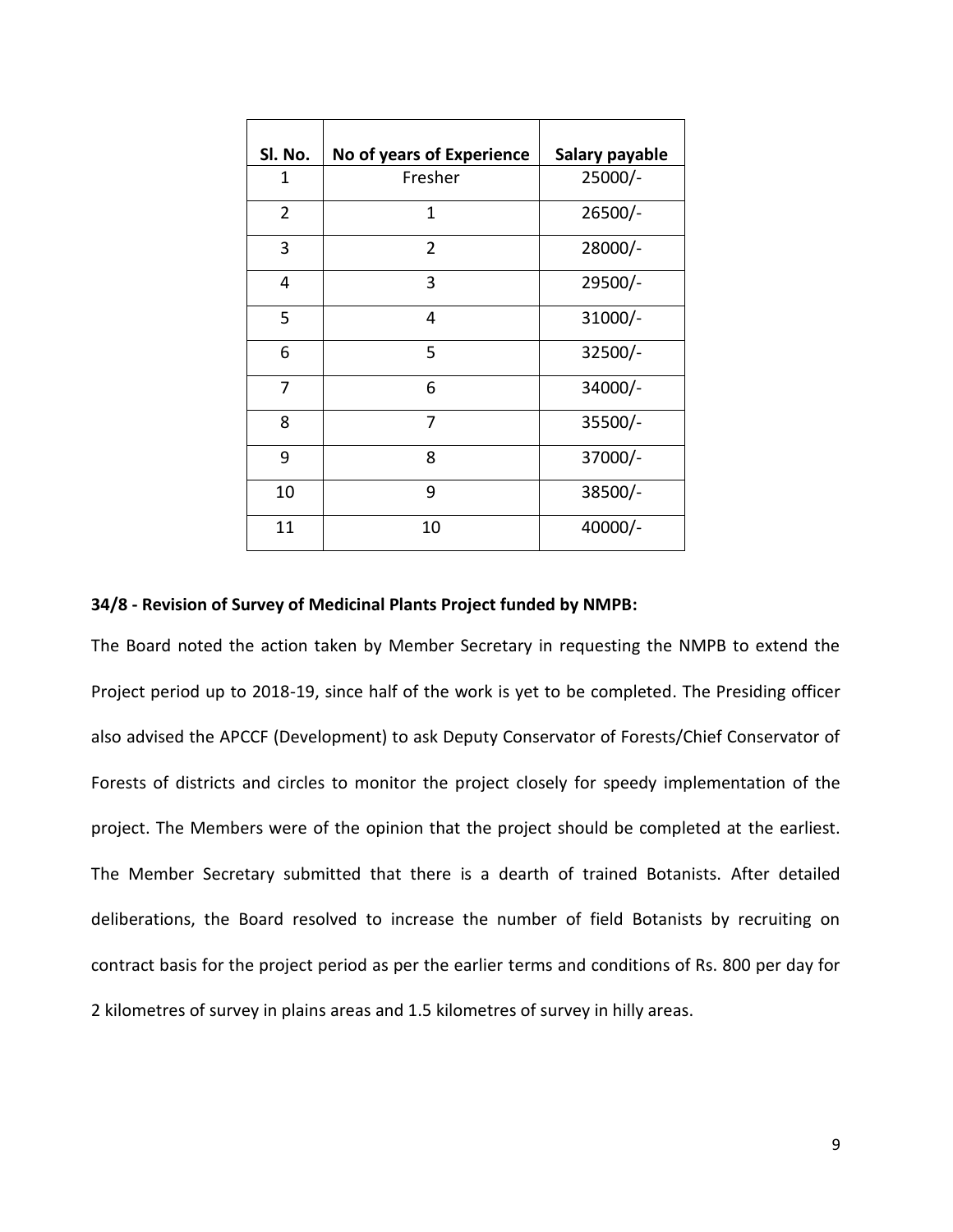| SI. No.        | No of years of Experience | Salary payable |
|----------------|---------------------------|----------------|
| 1              | Fresher                   | $25000/-$      |
| $\overline{2}$ | 1                         | $26500/-$      |
| 3              | 2                         | 28000/-        |
| 4              | 3                         | $29500/-$      |
| 5              | 4                         | 31000/-        |
| 6              | 5                         | 32500/-        |
| 7              | 6                         | 34000/-        |
| 8              | 7                         | 35500/-        |
| 9              | 8                         | 37000/-        |
| 10             | 9                         | 38500/-        |
| 11             | 10                        | 40000/-        |

#### **34/8 - Revision of Survey of Medicinal Plants Project funded by NMPB:**

The Board noted the action taken by Member Secretary in requesting the NMPB to extend the Project period up to 2018-19, since half of the work is yet to be completed. The Presiding officer also advised the APCCF (Development) to ask Deputy Conservator of Forests/Chief Conservator of Forests of districts and circles to monitor the project closely for speedy implementation of the project. The Members were of the opinion that the project should be completed at the earliest. The Member Secretary submitted that there is a dearth of trained Botanists. After detailed deliberations, the Board resolved to increase the number of field Botanists by recruiting on contract basis for the project period as per the earlier terms and conditions of Rs. 800 per day for 2 kilometres of survey in plains areas and 1.5 kilometres of survey in hilly areas.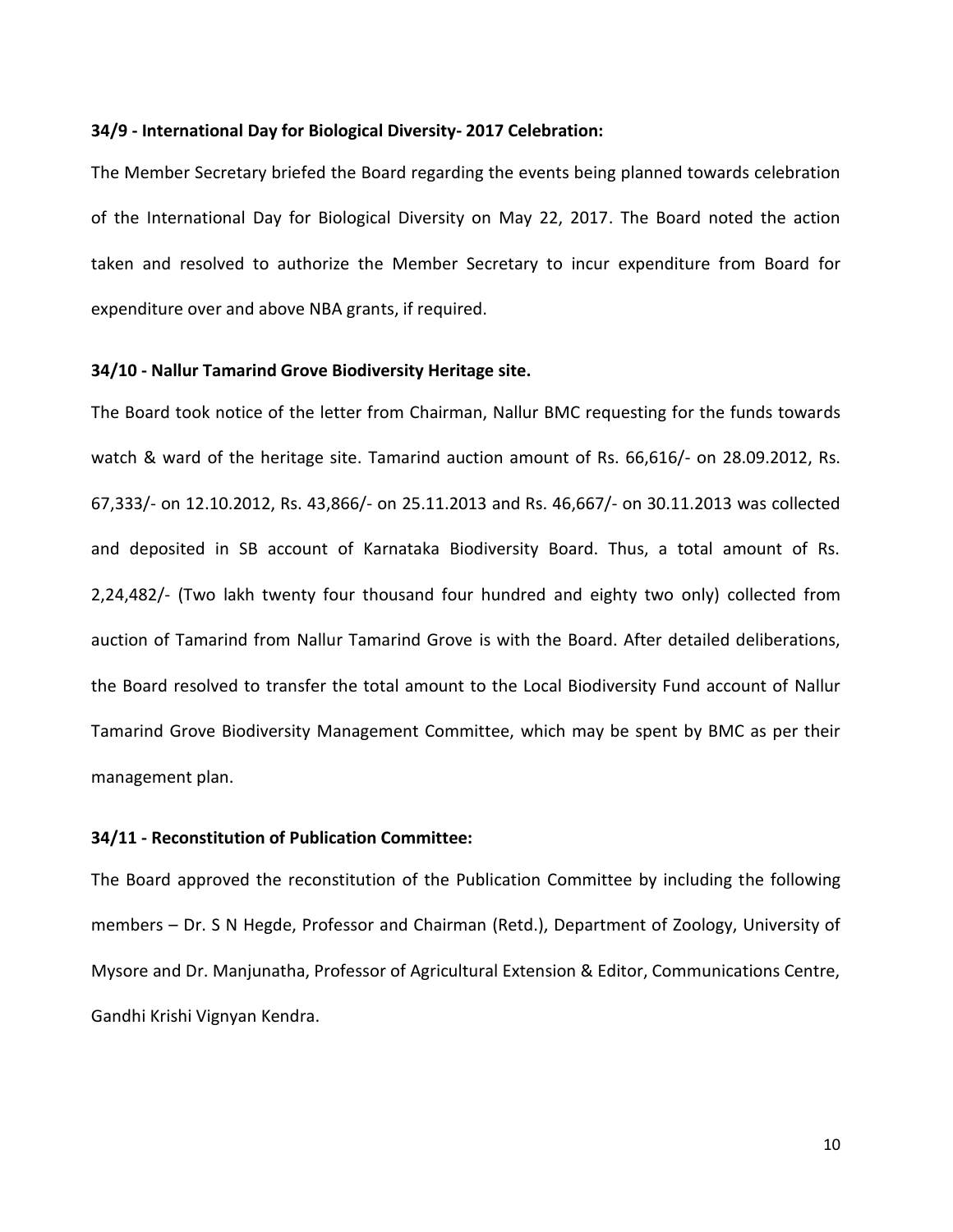#### **34/9 - International Day for Biological Diversity- 2017 Celebration:**

The Member Secretary briefed the Board regarding the events being planned towards celebration of the International Day for Biological Diversity on May 22, 2017. The Board noted the action taken and resolved to authorize the Member Secretary to incur expenditure from Board for expenditure over and above NBA grants, if required.

#### **34/10 - Nallur Tamarind Grove Biodiversity Heritage site.**

The Board took notice of the letter from Chairman, Nallur BMC requesting for the funds towards watch & ward of the heritage site. Tamarind auction amount of Rs. 66,616/- on 28.09.2012, Rs. 67,333/- on 12.10.2012, Rs. 43,866/- on 25.11.2013 and Rs. 46,667/- on 30.11.2013 was collected and deposited in SB account of Karnataka Biodiversity Board. Thus, a total amount of Rs. 2,24,482/- (Two lakh twenty four thousand four hundred and eighty two only) collected from auction of Tamarind from Nallur Tamarind Grove is with the Board. After detailed deliberations, the Board resolved to transfer the total amount to the Local Biodiversity Fund account of Nallur Tamarind Grove Biodiversity Management Committee, which may be spent by BMC as per their management plan.

#### **34/11 - Reconstitution of Publication Committee:**

The Board approved the reconstitution of the Publication Committee by including the following members – Dr. S N Hegde, Professor and Chairman (Retd.), Department of Zoology, University of Mysore and Dr. Manjunatha, Professor of Agricultural Extension & Editor, Communications Centre, Gandhi Krishi Vignyan Kendra.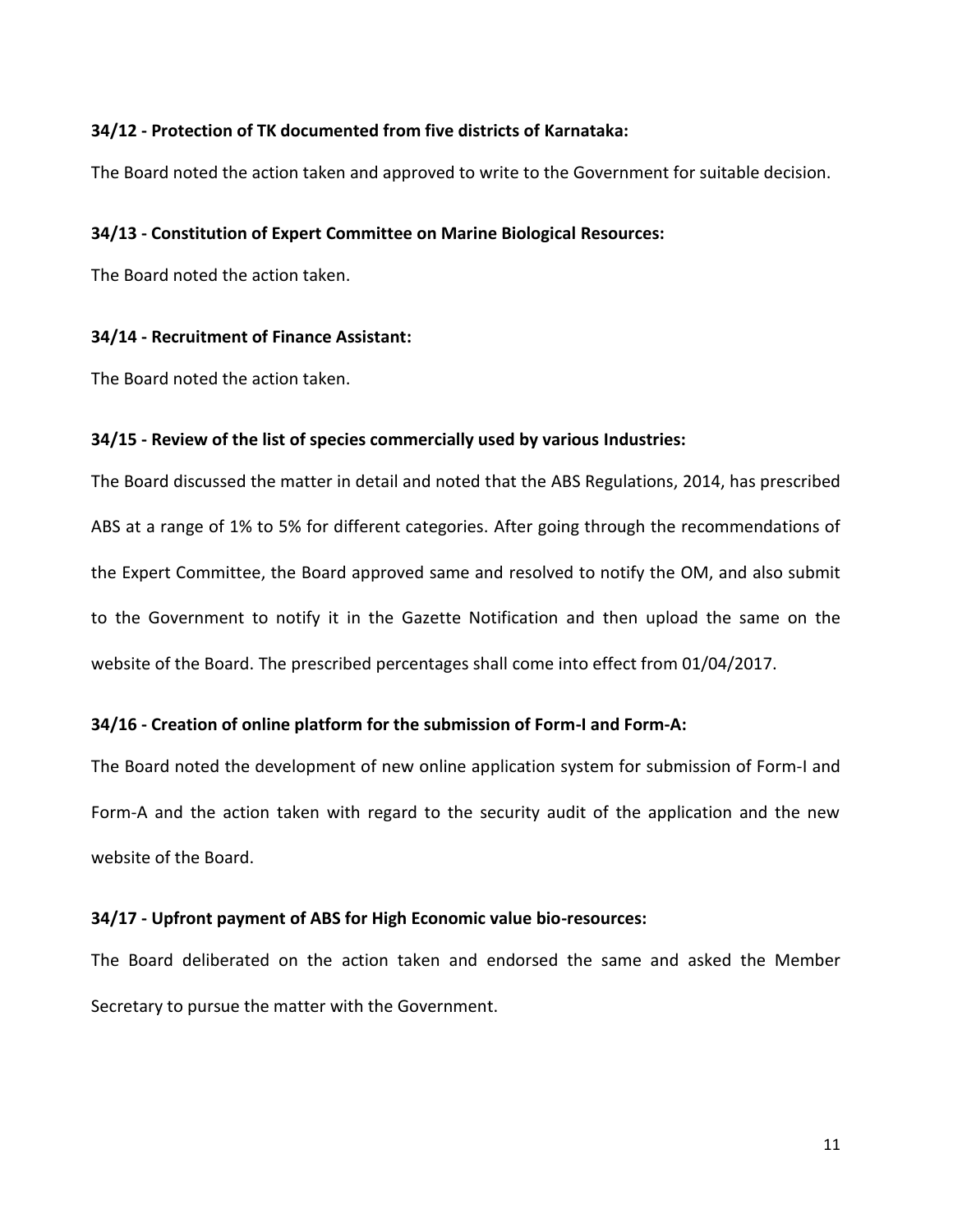#### **34/12 - Protection of TK documented from five districts of Karnataka:**

The Board noted the action taken and approved to write to the Government for suitable decision.

#### **34/13 - Constitution of Expert Committee on Marine Biological Resources:**

The Board noted the action taken.

#### **34/14 - Recruitment of Finance Assistant:**

The Board noted the action taken.

#### **34/15 - Review of the list of species commercially used by various Industries:**

The Board discussed the matter in detail and noted that the ABS Regulations, 2014, has prescribed ABS at a range of 1% to 5% for different categories. After going through the recommendations of the Expert Committee, the Board approved same and resolved to notify the OM, and also submit to the Government to notify it in the Gazette Notification and then upload the same on the website of the Board. The prescribed percentages shall come into effect from 01/04/2017.

#### **34/16 - Creation of online platform for the submission of Form-I and Form-A:**

The Board noted the development of new online application system for submission of Form-I and Form-A and the action taken with regard to the security audit of the application and the new website of the Board.

#### **34/17 - Upfront payment of ABS for High Economic value bio-resources:**

The Board deliberated on the action taken and endorsed the same and asked the Member Secretary to pursue the matter with the Government.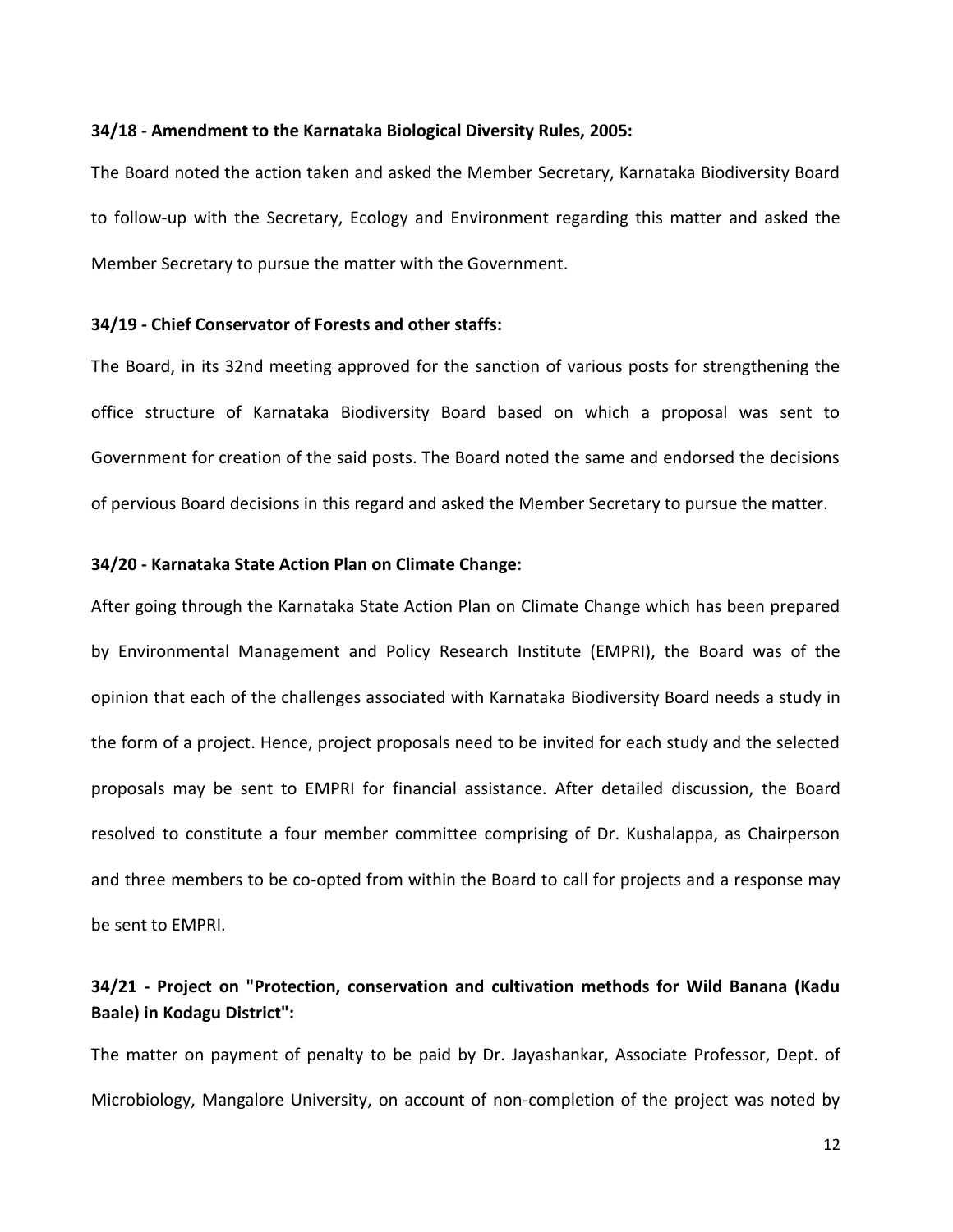#### **34/18 - Amendment to the Karnataka Biological Diversity Rules, 2005:**

The Board noted the action taken and asked the Member Secretary, Karnataka Biodiversity Board to follow-up with the Secretary, Ecology and Environment regarding this matter and asked the Member Secretary to pursue the matter with the Government.

#### **34/19 - Chief Conservator of Forests and other staffs:**

The Board, in its 32nd meeting approved for the sanction of various posts for strengthening the office structure of Karnataka Biodiversity Board based on which a proposal was sent to Government for creation of the said posts. The Board noted the same and endorsed the decisions of pervious Board decisions in this regard and asked the Member Secretary to pursue the matter.

#### **34/20 - Karnataka State Action Plan on Climate Change:**

After going through the Karnataka State Action Plan on Climate Change which has been prepared by Environmental Management and Policy Research Institute (EMPRI), the Board was of the opinion that each of the challenges associated with Karnataka Biodiversity Board needs a study in the form of a project. Hence, project proposals need to be invited for each study and the selected proposals may be sent to EMPRI for financial assistance. After detailed discussion, the Board resolved to constitute a four member committee comprising of Dr. Kushalappa, as Chairperson and three members to be co-opted from within the Board to call for projects and a response may be sent to EMPRI.

### **34/21 - Project on "Protection, conservation and cultivation methods for Wild Banana (Kadu Baale) in Kodagu District":**

The matter on payment of penalty to be paid by Dr. Jayashankar, Associate Professor, Dept. of Microbiology, Mangalore University, on account of non-completion of the project was noted by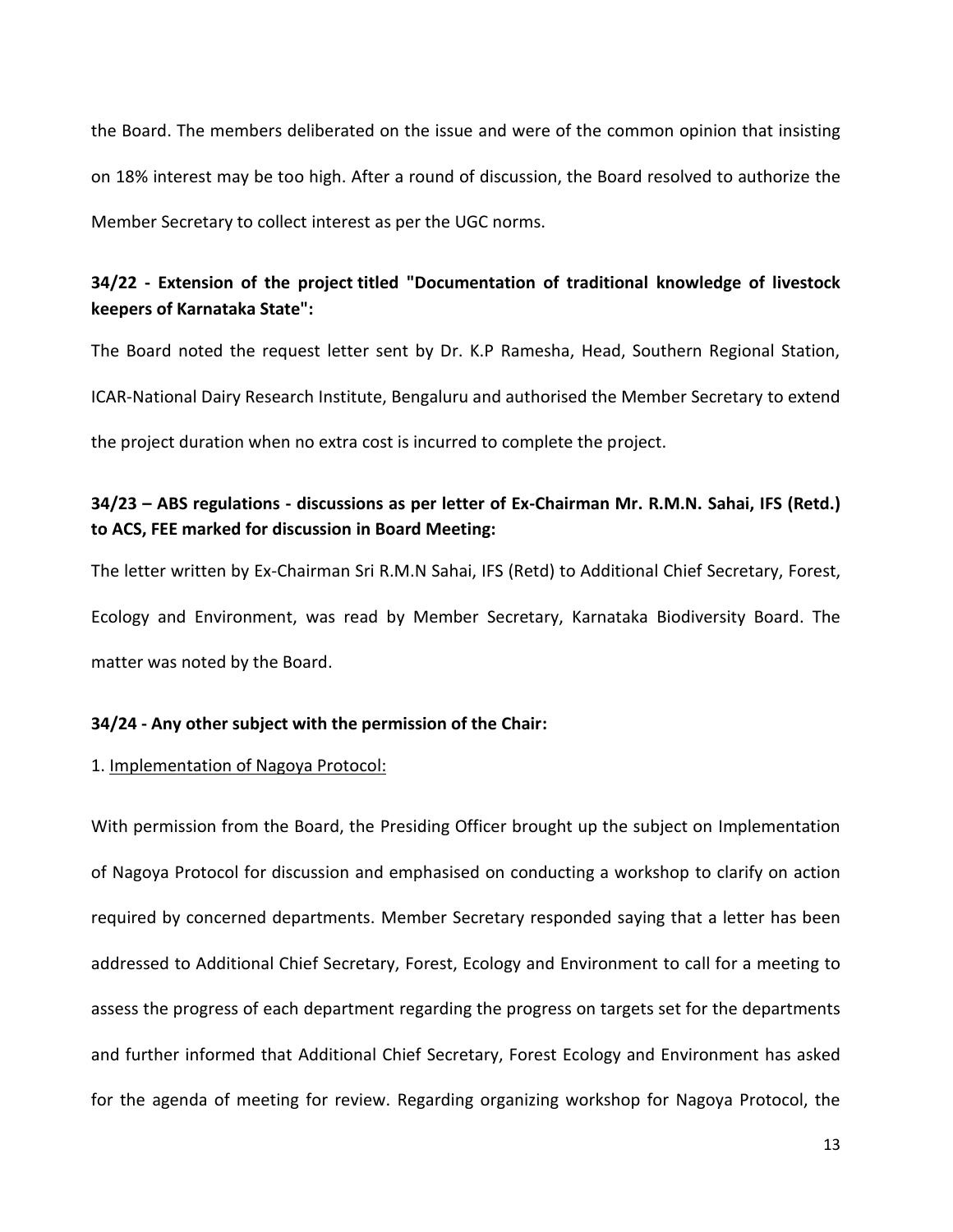the Board. The members deliberated on the issue and were of the common opinion that insisting on 18% interest may be too high. After a round of discussion, the Board resolved to authorize the Member Secretary to collect interest as per the UGC norms.

### **34/22 - Extension of the project titled "Documentation of traditional knowledge of livestock keepers of Karnataka State":**

The Board noted the request letter sent by Dr. K.P Ramesha, Head, Southern Regional Station, ICAR-National Dairy Research Institute, Bengaluru and authorised the Member Secretary to extend the project duration when no extra cost is incurred to complete the project.

# **34/23 – ABS regulations - discussions as per letter of Ex-Chairman Mr. R.M.N. Sahai, IFS (Retd.) to ACS, FEE marked for discussion in Board Meeting:**

The letter written by Ex-Chairman Sri R.M.N Sahai, IFS (Retd) to Additional Chief Secretary, Forest, Ecology and Environment, was read by Member Secretary, Karnataka Biodiversity Board. The matter was noted by the Board.

#### **34/24 - Any other subject with the permission of the Chair:**

#### 1. Implementation of Nagoya Protocol:

With permission from the Board, the Presiding Officer brought up the subject on Implementation of Nagoya Protocol for discussion and emphasised on conducting a workshop to clarify on action required by concerned departments. Member Secretary responded saying that a letter has been addressed to Additional Chief Secretary, Forest, Ecology and Environment to call for a meeting to assess the progress of each department regarding the progress on targets set for the departments and further informed that Additional Chief Secretary, Forest Ecology and Environment has asked for the agenda of meeting for review. Regarding organizing workshop for Nagoya Protocol, the